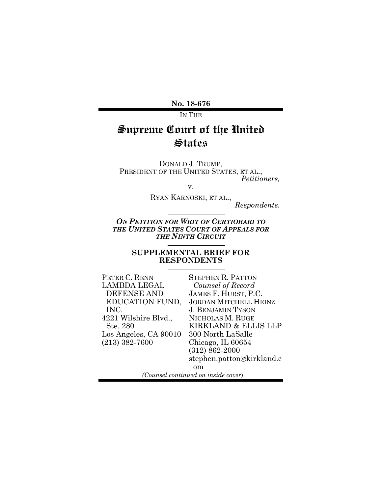**No. 18-676**

IN THE

# **Supreme Court of the United States**

DONALD J. TRUMP,<br>PRESIDENT OF THE UNITED STATES, ET AL., *Petitioners,*

v.

RYAN KARNOSKI, ET AL.,

*Respondents.*

*ON PETITION FOR WRIT OF CERTIORARI TO THE UNITED STATES COURT OF APPEALS FOR THE NINTH CIRCUIT*

#### **SUPPLEMENTAL BRIEF FOR RESPONDENTS**

| Peter C. Renn         | <b>STEPHEN R. PATTON</b>            |
|-----------------------|-------------------------------------|
| LAMBDA LEGAL          | Counsel of Record                   |
| <b>DEFENSE AND</b>    | JAMES F. HURST, P.C.                |
| EDUCATION FUND,       | <b>JORDAN MITCHELL HEINZ</b>        |
| INC.                  | <b>J. BENJAMIN TYSON</b>            |
| 4221 Wilshire Blvd.,  | NICHOLAS M. RUGE                    |
| Ste. 280              | KIRKLAND & ELLIS LLP                |
| Los Angeles, CA 90010 | 300 North LaSalle                   |
| $(213) 382 - 7600$    | Chicago, IL 60654                   |
|                       | $(312) 862 - 2000$                  |
|                       | stephen.patton@kirkland.c           |
|                       | om                                  |
|                       | (Counsel continued on inside cover) |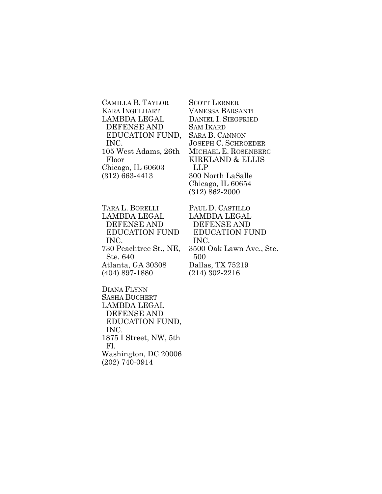CAMILLA B. TAYLOR KARA INGELHART LAMBDA LEGAL DEFENSE AND EDUCATION FUND, INC. 105 West Adams, 26th Floor Chicago, IL 60603 (312) 663-4413

TARA L. BORELLI LAMBDA LEGAL DEFENSE AND EDUCATION FUND INC. 730 Peachtree St., NE, Ste. 640 Atlanta, GA 30308 (404) 897-1880

DIANA FLYNN SASHA BUCHERT LAMBDA LEGAL DEFENSE AND EDUCATION FUND, INC. 1875 I Street, NW, 5th Fl. Washington, DC 20006 (202) 740-0914

SCOTT LERNER VANESSA BARSANTI DANIEL I. SIEGFRIED SAM IKARD SARA B. CANNON JOSEPH C. SCHROEDER MICHAEL E. ROSENBERG KIRKLAND & ELLIS LLP 300 North LaSalle Chicago, IL 60654 (312) 862-2000

PAUL D. CASTILLO LAMBDA LEGAL DEFENSE AND EDUCATION FUND INC. 3500 Oak Lawn Ave., Ste. 500 Dallas, TX 75219 (214) 302-2216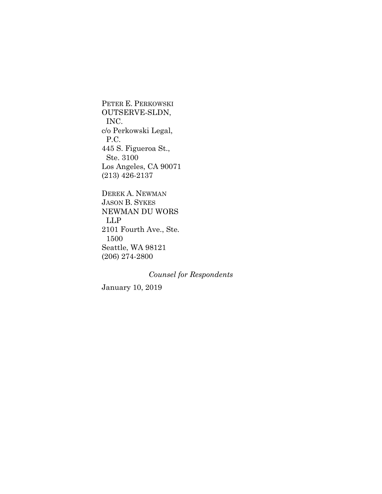PETER E. PERKOWSKI OUTSERVE-SLDN, INC. c/o Perkowski Legal, P.C. 445 S. Figueroa St., Ste. 3100 Los Angeles, CA 90071 (213) 426-2137

DEREK A. NEWMAN JASON B. SYKES NEWMAN DU WORS LLP 2101 Fourth Ave., Ste. 1500 Seattle, WA 98121 (206) 274-2800

*Counsel for Respondents*

January 10, 2019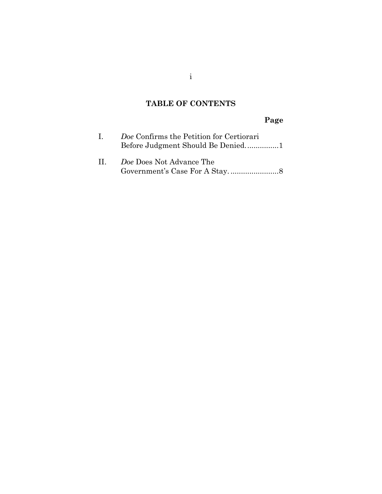## **TABLE OF CONTENTS**

i

## **Page**

| $\mathbf{L}$    | Doe Confirms the Petition for Certiorari |
|-----------------|------------------------------------------|
| $\prod_{i=1}^n$ | Doe Does Not Advance The                 |

[Government's Case For A Stay.](#page-12-0) ....................... 8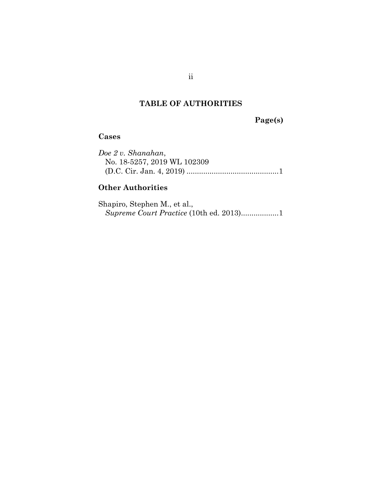### **TABLE OF AUTHORITIES**

**Page(s)**

#### **Cases**

*Doe 2 v. Shanahan*, No. 18-5257, 2019 WL 102309 (D.C. Cir. Jan. 4, 2019) ............................................ 1

#### **Other Authorities**

Shapiro, Stephen M., et al., *Supreme Court Practice* (10th ed. 2013).................. 1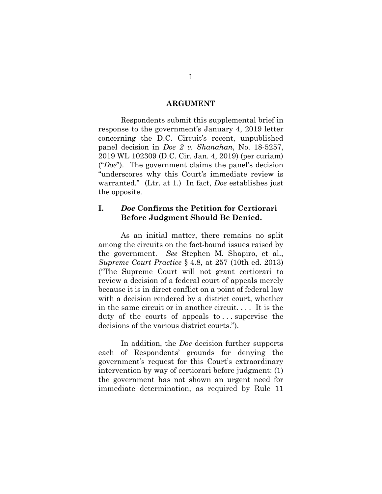#### **ARGUMENT**

Respondents submit this supplemental brief in response to the government's January 4, 2019 letter concerning the D.C. Circuit's recent, unpublished panel decision in *Doe 2 v. Shanahan*, No. 18-5257, 2019 WL 102309 (D.C. Cir. Jan. 4, 2019) (per curiam) ("*Doe*"). The government claims the panel's decision "underscores why this Court's immediate review is warranted." (Ltr. at 1.) In fact, *Doe* establishes just the opposite.

#### <span id="page-5-0"></span>**I.** *Doe* **Confirms the Petition for Certiorari Before Judgment Should Be Denied.**

As an initial matter, there remains no split among the circuits on the fact-bound issues raised by the government. *See* Stephen M. Shapiro, et al., *Supreme Court Practice* § 4.8, at 257 (10th ed. 2013) ("The Supreme Court will not grant certiorari to review a decision of a federal court of appeals merely because it is in direct conflict on a point of federal law with a decision rendered by a district court, whether in the same circuit or in another circuit. . . . It is the duty of the courts of appeals to . . . supervise the decisions of the various district courts.").

In addition, the *Doe* decision further supports each of Respondents' grounds for denying the government's request for this Court's extraordinary intervention by way of certiorari before judgment: (1) the government has not shown an urgent need for immediate determination, as required by Rule 11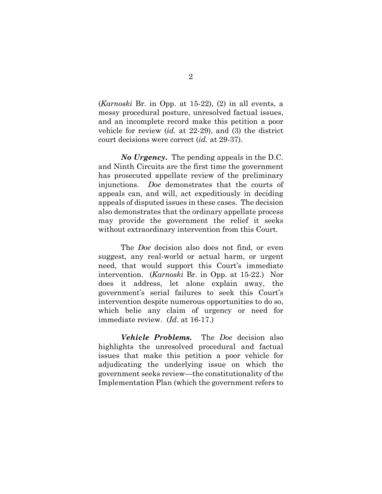(*Karnoski* Br. in Opp. at 15-22), (2) in all events, a messy procedural posture, unresolved factual issues, and an incomplete record make this petition a poor vehicle for review (*id.* at 22-29), and (3) the district court decisions were correct (*id.* at 29-37).

*No Urgency***.** The pending appeals in the D.C. and Ninth Circuits are the first time the government has prosecuted appellate review of the preliminary injunctions. *Doe* demonstrates that the courts of appeals can, and will, act expeditiously in deciding appeals of disputed issues in these cases. The decision also demonstrates that the ordinary appellate process may provide the government the relief it seeks without extraordinary intervention from this Court.

The *Doe* decision also does not find, or even suggest, any real-world or actual harm, or urgent need, that would support this Court's immediate intervention. (*Karnoski* Br. in Opp. at 15-22.) Nor does it address, let alone explain away, the government's serial failures to seek this Court's intervention despite numerous opportunities to do so, which belie any claim of urgency or need for immediate review. (*Id*. at 16-17.)

*Vehicle Problems***.** The *Doe* decision also highlights the unresolved procedural and factual issues that make this petition a poor vehicle for adjudicating the underlying issue on which the government seeks review—the constitutionality of the Implementation Plan (which the government refers to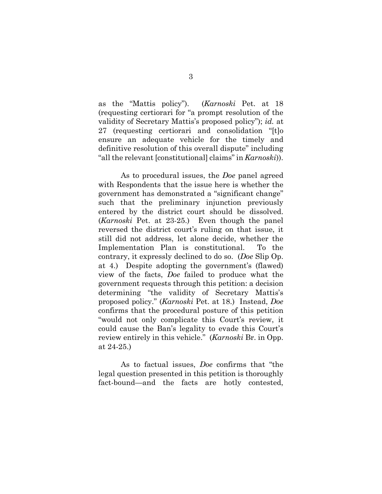as the "Mattis policy"). (*Karnoski* Pet. at 18 (requesting certiorari for "a prompt resolution of the validity of Secretary Mattis's proposed policy"); *id.* at 27 (requesting certiorari and consolidation "[t]o ensure an adequate vehicle for the timely and definitive resolution of this overall dispute" including "all the relevant [constitutional] claims" in *Karnoski*)).

As to procedural issues, the *Doe* panel agreed with Respondents that the issue here is whether the government has demonstrated a "significant change" such that the preliminary injunction previously entered by the district court should be dissolved. (*Karnoski* Pet. at 23-25.) Even though the panel reversed the district court's ruling on that issue, it still did not address, let alone decide, whether the Implementation Plan is constitutional. To the contrary, it expressly declined to do so. (*Doe* Slip Op. at 4.) Despite adopting the government's (flawed) view of the facts, *Doe* failed to produce what the government requests through this petition: a decision determining "the validity of Secretary Mattis's proposed policy." (*Karnoski* Pet. at 18.) Instead, *Doe* confirms that the procedural posture of this petition "would not only complicate this Court's review, it could cause the Ban's legality to evade this Court's review entirely in this vehicle." (*Karnoski* Br. in Opp. at 24-25.)

As to factual issues, *Doe* confirms that "the legal question presented in this petition is thoroughly fact-bound—and the facts are hotly contested,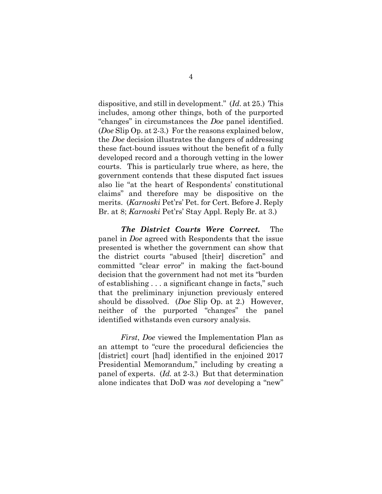dispositive, and still in development." (*Id.* at 25.) This includes, among other things, both of the purported "changes" in circumstances the *Doe* panel identified. (*Doe* Slip Op. at 2-3.) For the reasons explained below, the *Doe* decision illustrates the dangers of addressing these fact-bound issues without the benefit of a fully developed record and a thorough vetting in the lower courts. This is particularly true where, as here, the government contends that these disputed fact issues also lie "at the heart of Respondents' constitutional claims" and therefore may be dispositive on the merits. (*Karnoski* Pet'rs' Pet. for Cert. Before J. Reply Br. at 8; *Karnoski* Pet'rs' Stay Appl. Reply Br. at 3.)

*The District Courts Were Correct.*The panel in *Doe* agreed with Respondents that the issue presented is whether the government can show that the district courts "abused [their] discretion" and committed "clear error" in making the fact-bound decision that the government had not met its "burden of establishing . . . a significant change in facts," such that the preliminary injunction previously entered should be dissolved. (*Doe* Slip Op. at 2.) However, neither of the purported "changes" the panel identified withstands even cursory analysis.

*First*, *Doe* viewed the Implementation Plan as an attempt to "cure the procedural deficiencies the [district] court [had] identified in the enjoined 2017 Presidential Memorandum," including by creating a panel of experts. (*Id.* at 2-3.) But that determination alone indicates that DoD was *not* developing a "new"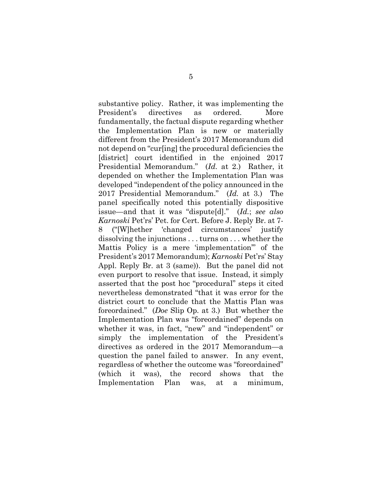substantive policy. Rather, it was implementing the President's directives as ordered. More fundamentally, the factual dispute regarding whether the Implementation Plan is new or materially different from the President's 2017 Memorandum did not depend on "cur[ing] the procedural deficiencies the [district] court identified in the enjoined 2017 Presidential Memorandum." (*Id.* at 2.) Rather, it depended on whether the Implementation Plan was developed "independent of the policy announced in the 2017 Presidential Memorandum." (*Id.* at 3.) The panel specifically noted this potentially dispositive issue—and that it was "dispute[d]." (*Id.*; *see also Karnoski* Pet'rs' Pet. for Cert. Before J. Reply Br. at 7- 8 ("[W]hether 'changed circumstances' justify dissolving the injunctions . . . turns on . . . whether the Mattis Policy is a mere 'implementation'" of the President's 2017 Memorandum); *Karnoski* Pet'rs' Stay Appl. Reply Br. at 3 (same)). But the panel did not even purport to resolve that issue. Instead, it simply asserted that the post hoc "procedural" steps it cited nevertheless demonstrated "that it was error for the district court to conclude that the Mattis Plan was foreordained." (*Doe* Slip Op. at 3.) But whether the Implementation Plan was "foreordained" depends on whether it was, in fact, "new" and "independent" or simply the implementation of the President's directives as ordered in the 2017 Memorandum—a question the panel failed to answer. In any event, regardless of whether the outcome was "foreordained" (which it was), the record shows that the Implementation Plan was, at a minimum,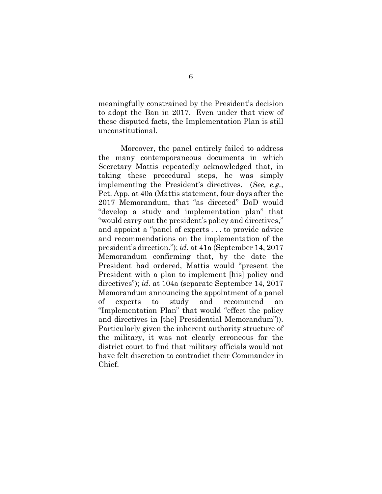meaningfully constrained by the President's decision to adopt the Ban in 2017. Even under that view of these disputed facts, the Implementation Plan is still unconstitutional.

Moreover, the panel entirely failed to address the many contemporaneous documents in which Secretary Mattis repeatedly acknowledged that, in taking these procedural steps, he was simply implementing the President's directives. (*See, e.g.*, Pet. App. at 40a (Mattis statement, four days after the 2017 Memorandum, that "as directed" DoD would "develop a study and implementation plan" that "would carry out the president's policy and directives," and appoint a "panel of experts . . . to provide advice and recommendations on the implementation of the president's direction."); *id.* at 41a (September 14, 2017 Memorandum confirming that, by the date the President had ordered, Mattis would "present the President with a plan to implement [his] policy and directives"); *id.* at 104a (separate September 14, 2017 Memorandum announcing the appointment of a panel of experts to study and recommend an "Implementation Plan" that would "effect the policy and directives in [the] Presidential Memorandum")). Particularly given the inherent authority structure of the military, it was not clearly erroneous for the district court to find that military officials would not have felt discretion to contradict their Commander in Chief.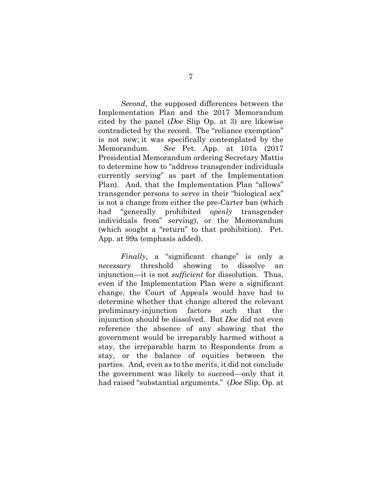*Second*, the supposed differences between the Implementation Plan and the 2017 Memorandum cited by the panel (*Doe* Slip Op. at 3) are likewise contradicted by the record. The "reliance exemption" is not new; it was specifically contemplated by the Memorandum. *See* Pet. App. at 101a (2017 Presidential Memorandum ordering Secretary Mattis to determine how to "address transgender individuals currently serving" as part of the Implementation Plan). And, that the Implementation Plan "allows" transgender persons to serve in their "biological sex" is not a change from either the pre-Carter ban (which had "generally prohibited *openly* transgender individuals from" serving), or the Memorandum (which sought a "return" to that prohibition). Pet. App. at 99a (emphasis added).

*Finally*, a "significant change" is only a *necessary* threshold showing to dissolve an injunction—it is not *sufficient* for dissolution. Thus, even if the Implementation Plan were a significant change, the Court of Appeals would have had to determine whether that change altered the relevant preliminary-injunction factors such that the injunction should be dissolved. But *Doe* did not even reference the absence of any showing that the government would be irreparably harmed without a stay, the irreparable harm to Respondents from a stay, or the balance of equities between the parties. And, even as to the merits, it did not conclude the government was likely to succeed—only that it had raised "substantial arguments." (*Doe* Slip. Op. at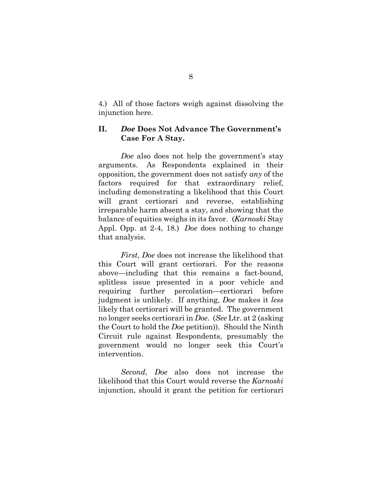4.) All of those factors weigh against dissolving the injunction here.

#### <span id="page-12-0"></span>**II.** *Doe* **Does Not Advance The Government's Case For A Stay.**

*Doe* also does not help the government's stay arguments. As Respondents explained in their opposition, the government does not satisfy *any* of the factors required for that extraordinary relief, including demonstrating a likelihood that this Court will grant certiorari and reverse, establishing irreparable harm absent a stay, and showing that the balance of equities weighs in its favor. (*Karnoski* Stay Appl. Opp. at 2-4, 18.) *Doe* does nothing to change that analysis.

*First*, *Doe* does not increase the likelihood that this Court will grant certiorari. For the reasons above—including that this remains a fact-bound, splitless issue presented in a poor vehicle and requiring further percolation—certiorari before judgment is unlikely. If anything, *Doe* makes it *less*  likely that certiorari will be granted. The government no longer seeks certiorari in *Doe*. (*See* Ltr. at 2 (asking the Court to hold the *Doe* petition)). Should the Ninth Circuit rule against Respondents, presumably the government would no longer seek this Court's intervention.

*Second*, *Doe* also does not increase the likelihood that this Court would reverse the *Karnoski* injunction, should it grant the petition for certiorari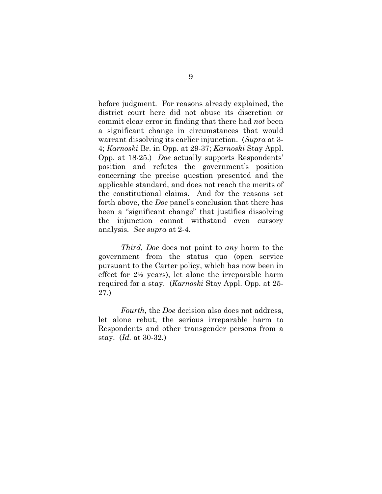before judgment. For reasons already explained, the district court here did not abuse its discretion or commit clear error in finding that there had *not* been a significant change in circumstances that would warrant dissolving its earlier injunction. (*Supra* at 3- 4; *Karnoski* Br. in Opp. at 29-37; *Karnoski* Stay Appl. Opp. at 18-25.) *Doe* actually supports Respondents' position and refutes the government's position concerning the precise question presented and the applicable standard, and does not reach the merits of the constitutional claims. And for the reasons set forth above, the *Doe* panel's conclusion that there has been a "significant change" that justifies dissolving the injunction cannot withstand even cursory analysis. *See supra* at 2-4.

*Third*, *Doe* does not point to *any* harm to the government from the status quo (open service pursuant to the Carter policy, which has now been in effect for 2½ years), let alone the irreparable harm required for a stay. (*Karnoski* Stay Appl. Opp. at 25- 27.)

*Fourth*, the *Doe* decision also does not address, let alone rebut, the serious irreparable harm to Respondents and other transgender persons from a stay. (*Id.* at 30-32.)